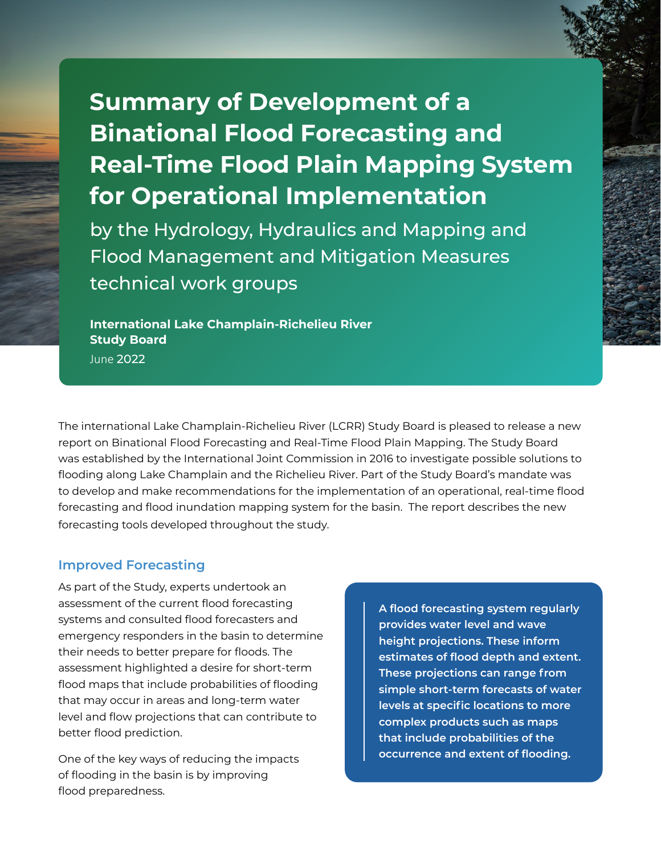## **Summary of Development of a Binational Flood Forecasting and Real-Time Flood Plain Mapping System for Operational Implementation**

by the Hydrology, Hydraulics and Mapping and Flood Management and Mitigation Measures technical work groups

**International Lake Champlain-Richelieu River Study Board**

June 2022

The international Lake Champlain-Richelieu River (LCRR) Study Board is pleased to release a new report on Binational Flood Forecasting and Real-Time Flood Plain Mapping. The Study Board was established by the International Joint Commission in 2016 to investigate possible solutions to flooding along Lake Champlain and the Richelieu River. Part of the Study Board's mandate was to develop and make recommendations for the implementation of an operational, real-time flood forecasting and flood inundation mapping system for the basin. The report describes the new forecasting tools developed throughout the study.

## **Improved Forecasting**

As part of the Study, experts undertook an assessment of the current flood forecasting systems and consulted flood forecasters and emergency responders in the basin to determine their needs to better prepare for floods. The assessment highlighted a desire for short-term flood maps that include probabilities of flooding that may occur in areas and long-term water level and flow projections that can contribute to better flood prediction.

One of the key ways of reducing the impacts of flooding in the basin is by improving flood preparedness.

**A flood forecasting system regularly provides water level and wave height projections. These inform estimates of flood depth and extent. These projections can range from simple short-term forecasts of water levels at specific locations to more complex products such as maps that include probabilities of the occurrence and extent of flooding.**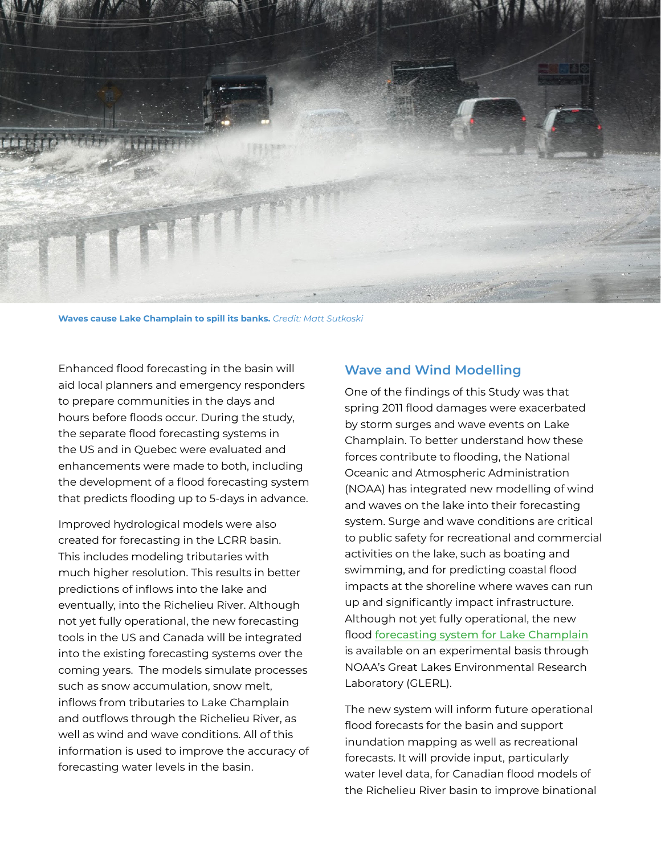

**Waves cause Lake Champlain to spill its banks.** *Credit: Matt Sutkoski*

Enhanced flood forecasting in the basin will aid local planners and emergency responders to prepare communities in the days and hours before floods occur. During the study, the separate flood forecasting systems in the US and in Quebec were evaluated and enhancements were made to both, including the development of a flood forecasting system that predicts flooding up to 5-days in advance.

Improved hydrological models were also created for forecasting in the LCRR basin. This includes modeling tributaries with much higher resolution. This results in better predictions of inflows into the lake and eventually, into the Richelieu River. Although not yet fully operational, the new forecasting tools in the US and Canada will be integrated into the existing forecasting systems over the coming years. The models simulate processes such as snow accumulation, snow melt, inflows from tributaries to Lake Champlain and outflows through the Richelieu River, as well as wind and wave conditions. All of this information is used to improve the accuracy of forecasting water levels in the basin.

## **Wave and Wind Modelling**

One of the findings of this Study was that spring 2011 flood damages were exacerbated by storm surges and wave events on Lake Champlain. To better understand how these forces contribute to flooding, the National Oceanic and Atmospheric Administration (NOAA) has integrated new modelling of wind and waves on the lake into their forecasting system. Surge and wave conditions are critical to public safety for recreational and commercial activities on the lake, such as boating and swimming, and for predicting coastal flood impacts at the shoreline where waves can run up and significantly impact infrastructure. Although not yet fully operational, the new flood [forecasting system for Lake Champlain](https://www.glerl.noaa.gov/res/champlain/) is available on an experimental basis through NOAA's Great Lakes Environmental Research Laboratory (GLERL).

The new system will inform future operational flood forecasts for the basin and support inundation mapping as well as recreational forecasts. It will provide input, particularly water level data, for Canadian flood models of the Richelieu River basin to improve binational